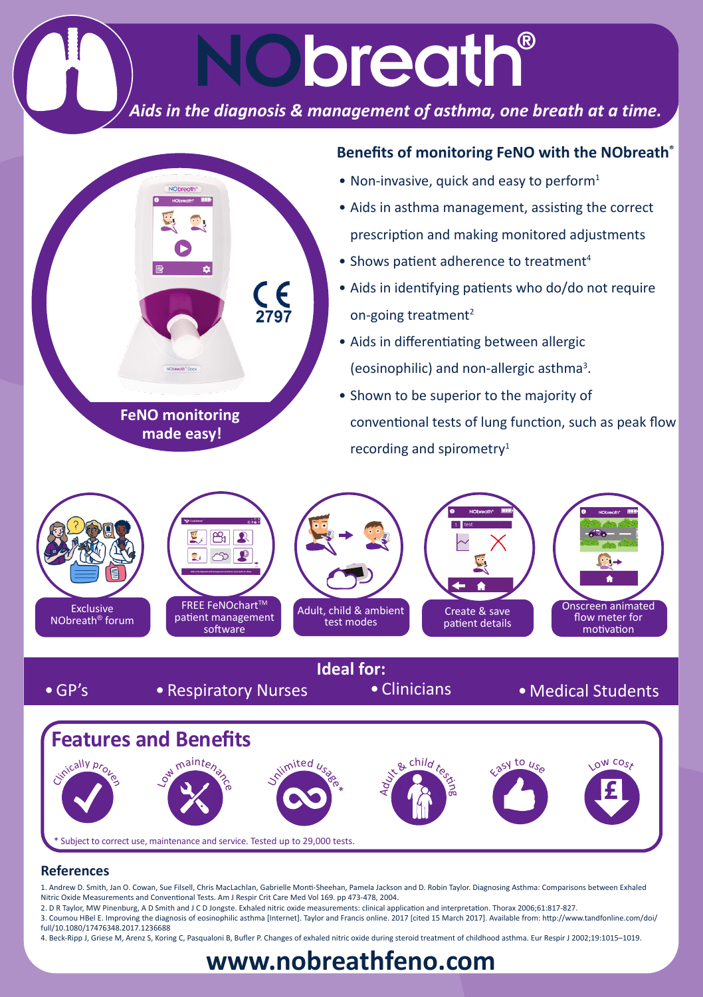# *Aids in the diagnosis & management of asthma, one breath at a time.*

NObreath®



**www.nobreathfeno.com**

#### **References**

1. Andrew D. Smith, Jan O. Cowan, Sue Filsell, Chris MacLachlan, Gabrielle Monti-Sheehan, Pamela Jackson and D. Robin Taylor. Diagnosing Asthma: Comparisons between Exhaled Nitric Oxide Measurements and Conventional Tests. Am J Respir Crit Care Med Vol 169. pp 473-478, 2004.

2. D R Taylor, MW Pinenburg, A D Smith and J C D Jongste. Exhaled nitric oxide measurements: clinical application and interpretation. Thorax 2006;61:817-827.

Subject to correct use, maintenance and service. Tested up to 29,000 tests.

3. Coumou HBel E. Improving the diagnosis of eosinophilic asthma [Internet]. Taylor and Francis online. 2017 [cited 15 March 2017]. Available from: http://www.tandfonline.com/doi/ full/10.1080/17476348.2017.1236688

4. Beck-Ripp J, Griese M, Arenz S, Koring C, Pasqualoni B, Bufler P. Changes of exhaled nitric oxide during steroid treatment of childhood asthma. Eur Respir J 2002;19:1015–1019.